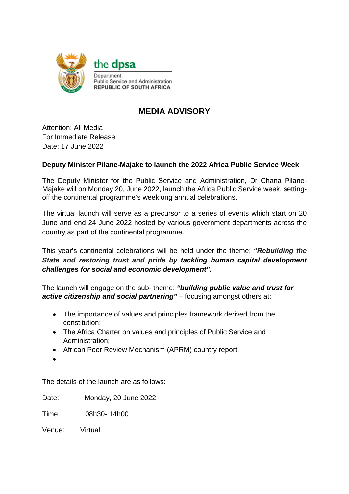

## **MEDIA ADVISORY**

Attention: All Media For Immediate Release Date: 17 June 2022

## **Deputy Minister Pilane-Majake to launch the 2022 Africa Public Service Week**

The Deputy Minister for the Public Service and Administration, Dr Chana Pilane-Majake will on Monday 20, June 2022, launch the Africa Public Service week, settingoff the continental programme's weeklong annual celebrations.

The virtual launch will serve as a precursor to a series of events which start on 20 June and end 24 June 2022 hosted by various government departments across the country as part of the continental programme.

This year's continental celebrations will be held under the theme: *"Rebuilding the State and restoring trust and pride by tackling human capital development challenges for social and economic development".*

The launch will engage on the sub- theme: *"building public value and trust for active citizenship and social partnering"* – focusing amongst others at:

- The importance of values and principles framework derived from the constitution;
- The Africa Charter on values and principles of Public Service and Administration;
- African Peer Review Mechanism (APRM) country report;
- •

The details of the launch are as follows:

Date: Monday, 20 June 2022

Time: 08h30- 14h00

Venue: Virtual